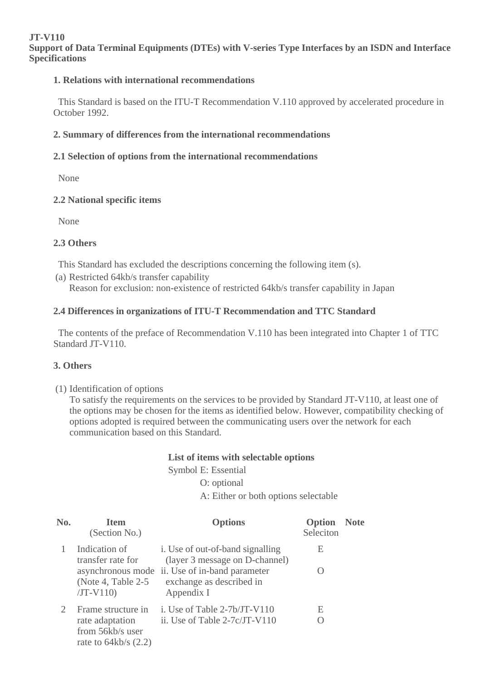#### **JT-V110 Support of Data Terminal Equipments (DTEs) with V-series Type Interfaces by an ISDN and Interface Specifications**

#### **1. Relations with international recommendations**

 This Standard is based on the ITU-T Recommendation V.110 approved by accelerated procedure in October 1992.

#### **2. Summary of differences from the international recommendations**

# **2.1 Selection of options from the international recommendations**

None

#### **2.2 National specific items**

None

# **2.3 Others**

This Standard has excluded the descriptions concerning the following item (s).

(a) Restricted 64kb/s transfer capability Reason for exclusion: non-existence of restricted 64kb/s transfer capability in Japan

# **2.4 Differences in organizations of ITU-T Recommendation and TTC Standard**

 The contents of the preface of Recommendation V.110 has been integrated into Chapter 1 of TTC Standard JT-V110.

# **3. Others**

(1) Identification of options

To satisfy the requirements on the services to be provided by Standard JT-V110, at least one of the options may be chosen for the items as identified below. However, compatibility checking of options adopted is required between the communicating users over the network for each communication based on this Standard.

# **List of items with selectable options**

Symbol E: Essential

O: optional

A: Either or both options selectable

| No. | <b>Item</b><br>(Section No.)                                  | <b>Options</b>                                                         | Option<br>Seleciton | <b>Note</b> |
|-----|---------------------------------------------------------------|------------------------------------------------------------------------|---------------------|-------------|
|     | Indication of<br>transfer rate for                            | i. Use of out-of-band signalling<br>(layer 3 message on D-channel)     | Е                   |             |
|     | asynchronous mode<br>(Note 4, Table 2-5)<br>$JT-V110$         | ii. Use of in-band parameter<br>exchange as described in<br>Appendix I |                     |             |
|     | Frame structure in                                            | i. Use of Table $2-7b/JT-V110$                                         | Е                   |             |
|     | rate adaptation<br>from 56kb/s user<br>rate to $64kb/s$ (2.2) | ii. Use of Table 2-7c/JT-V110                                          |                     |             |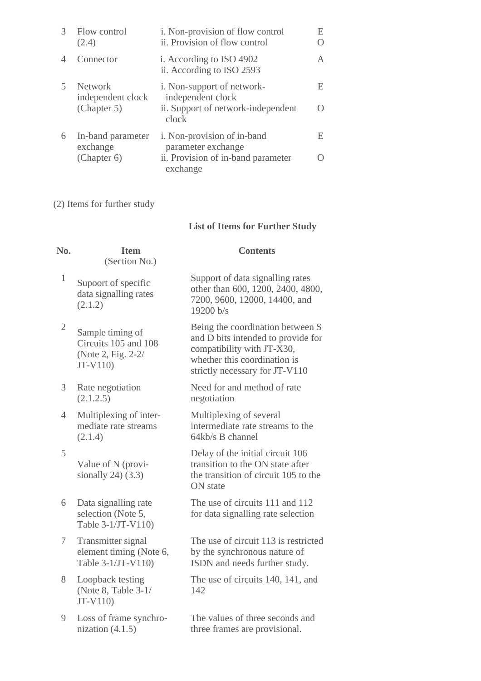| $\mathcal{R}$ | Flow control<br>(2.4)               | i. Non-provision of flow control<br>ii. Provision of flow control | E |
|---------------|-------------------------------------|-------------------------------------------------------------------|---|
|               | Connector                           | i. According to ISO 4902<br>ii. According to ISO 2593             | A |
|               | <b>Network</b><br>independent clock | <i>i</i> . Non-support of network-<br>independent clock           | E |
|               | (Chapter 5)                         | ii. Support of network-independent<br>clock                       |   |
| 6             | In-band parameter<br>exchange       | i. Non-provision of in-band<br>parameter exchange                 | E |
|               | (Chapter 6)                         | ii. Provision of in-band parameter<br>exchange                    |   |

(2) Items for further study

# **List of Items for Further Study**

| No.            | <b>Item</b><br>(Section No.)                                                 | <b>Contents</b>                                                                                                                                                        |
|----------------|------------------------------------------------------------------------------|------------------------------------------------------------------------------------------------------------------------------------------------------------------------|
| $\mathbf{1}$   | Supoort of specific<br>data signalling rates<br>(2.1.2)                      | Support of data signalling rates<br>other than 600, 1200, 2400, 4800,<br>7200, 9600, 12000, 14400, and<br>19200 b/s                                                    |
| $\mathbf{2}$   | Sample timing of<br>Circuits 105 and 108<br>(Note 2, Fig. 2-2/<br>$JT-V110)$ | Being the coordination between S<br>and D bits intended to provide for<br>compatibility with JT-X30,<br>whether this coordination is<br>strictly necessary for JT-V110 |
| 3              | Rate negotiation<br>(2.1.2.5)                                                | Need for and method of rate<br>negotiation                                                                                                                             |
| $\overline{4}$ | Multiplexing of inter-<br>mediate rate streams<br>(2.1.4)                    | Multiplexing of several<br>intermediate rate streams to the<br>$64kb/s$ B channel                                                                                      |
| 5              | Value of N (provi-<br>sionally $24(3.3)$                                     | Delay of the initial circuit 106<br>transition to the ON state after<br>the transition of circuit 105 to the<br>ON state                                               |
| 6              | Data signalling rate<br>selection (Note 5,<br>Table 3-1/JT-V110)             | The use of circuits 111 and 112<br>for data signalling rate selection                                                                                                  |
| 7              | Transmitter signal<br>element timing (Note 6,<br>Table 3-1/JT-V110)          | The use of circuit 113 is restricted<br>by the synchronous nature of<br>ISDN and needs further study.                                                                  |
| 8              | Loopback testing<br>(Note 8, Table 3-1/<br>$JT-V110)$                        | The use of circuits 140, 141, and<br>142                                                                                                                               |
| 9              | Loss of frame synchro-<br>nization $(4.1.5)$                                 | The values of three seconds and<br>three frames are provisional.                                                                                                       |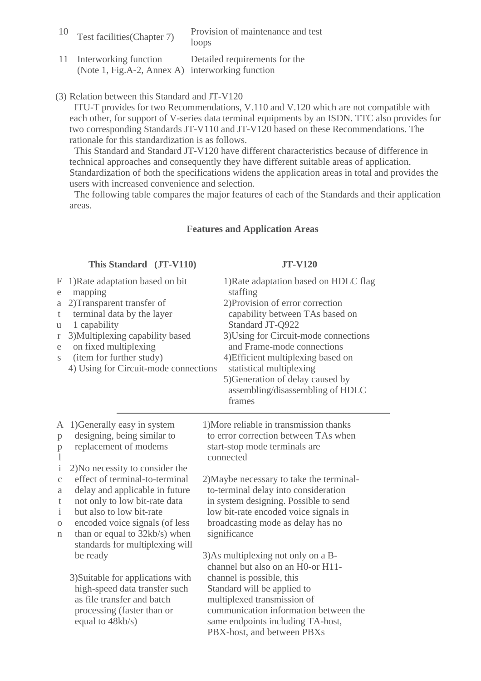| 10 | Test facilities (Chapter 7)                                                  | Provision of maintenance and test<br>loops |
|----|------------------------------------------------------------------------------|--------------------------------------------|
|    | 11 Interworking function<br>(Note 1, Fig.A-2, Annex A) interworking function | Detailed requirements for the              |

(3) Relation between this Standard and JT-V120

 ITU-T provides for two Recommendations, V.110 and V.120 which are not compatible with each other, for support of V-series data terminal equipments by an ISDN. TTC also provides for two corresponding Standards JT-V110 and JT-V120 based on these Recommendations. The rationale for this standardization is as follows.

 This Standard and Standard JT-V120 have different characteristics because of difference in technical approaches and consequently they have different suitable areas of application. Standardization of both the specifications widens the application areas in total and provides the users with increased convenience and selection.

 The following table compares the major features of each of the Standards and their application areas.

#### **Features and Application Areas**

|                                                          | This Standard (JT-V110)                                                                                                                                                                                                                                 | <b>JT-V120</b>                                                                                                                                                                                                                                                                                                                                                          |
|----------------------------------------------------------|---------------------------------------------------------------------------------------------------------------------------------------------------------------------------------------------------------------------------------------------------------|-------------------------------------------------------------------------------------------------------------------------------------------------------------------------------------------------------------------------------------------------------------------------------------------------------------------------------------------------------------------------|
| F<br>e<br>$\rm{a}$<br>t<br>u<br>$\Gamma$<br>e<br>S       | 1)Rate adaptation based on bit<br>mapping<br>2) Transparent transfer of<br>terminal data by the layer<br>1 capability<br>3) Multiplexing capability based<br>on fixed multiplexing<br>(item for further study)<br>4) Using for Circuit-mode connections | 1) Rate adaptation based on HDLC flag<br>staffing<br>2) Provision of error correction<br>capability between TAs based on<br>Standard JT-Q922<br>3) Using for Circuit-mode connections<br>and Frame-mode connections<br>4) Efficient multiplexing based on<br>statistical multiplexing<br>5) Generation of delay caused by<br>assembling/disassembling of HDLC<br>frames |
| Α<br>p<br>$\mathbf{p}$<br>$\mathbf{l}$<br>$\mathbf{i}$   | 1) Generally easy in system<br>designing, being similar to<br>replacement of modems<br>2) No necessity to consider the                                                                                                                                  | 1) More reliable in transmission thanks<br>to error correction between TAs when<br>start-stop mode terminals are<br>connected                                                                                                                                                                                                                                           |
| $\mathcal{C}$<br>a<br>t<br>$\mathbf{i}$<br>$\rm{O}$<br>n | effect of terminal-to-terminal<br>delay and applicable in future<br>not only to low bit-rate data<br>but also to low bit-rate<br>encoded voice signals (of less<br>than or equal to 32kb/s) when<br>standards for multiplexing will                     | 2) Maybe necessary to take the terminal-<br>to-terminal delay into consideration<br>in system designing. Possible to send<br>low bit-rate encoded voice signals in<br>broadcasting mode as delay has no<br>significance                                                                                                                                                 |
|                                                          | be ready<br>3) Suitable for applications with<br>high-speed data transfer such<br>as file transfer and batch<br>processing (faster than or<br>equal to 48kb/s)                                                                                          | 3) As multiplexing not only on a B-<br>channel but also on an H0-or H11-<br>channel is possible, this<br>Standard will be applied to<br>multiplexed transmission of<br>communication information between the<br>same endpoints including TA-host,<br>PBX-host, and between PBXs                                                                                         |